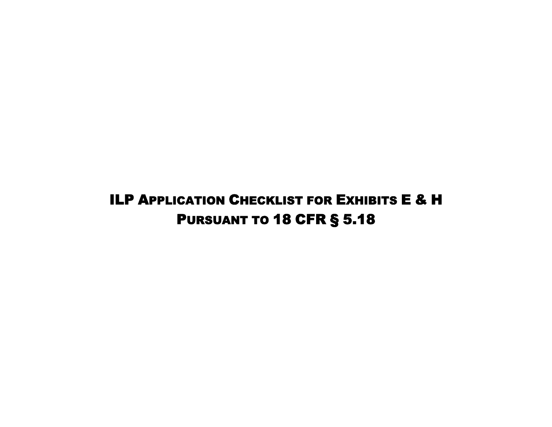## ILP APPLICATION CHECKLIST FOR EXHIBITS E & H PURSUANT TO 18 CFR § 5.18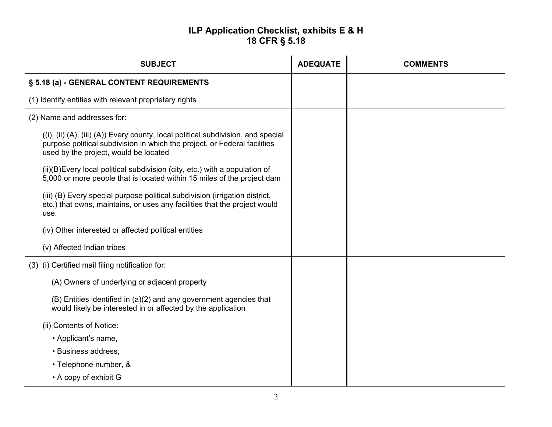## **ILP Application Checklist, exhibits E & H 18 CFR § 5.18**

| <b>SUBJECT</b>                                                                                                                                                                                          | <b>ADEQUATE</b> | <b>COMMENTS</b> |
|---------------------------------------------------------------------------------------------------------------------------------------------------------------------------------------------------------|-----------------|-----------------|
| § 5.18 (a) - GENERAL CONTENT REQUIREMENTS                                                                                                                                                               |                 |                 |
| (1) Identify entities with relevant proprietary rights                                                                                                                                                  |                 |                 |
| (2) Name and addresses for:                                                                                                                                                                             |                 |                 |
| ((i), (ii) (A), (iii) (A)) Every county, local political subdivision, and special<br>purpose political subdivision in which the project, or Federal facilities<br>used by the project, would be located |                 |                 |
| (ii)(B) Every local political subdivision (city, etc.) with a population of<br>5,000 or more people that is located within 15 miles of the project dam                                                  |                 |                 |
| (iii) (B) Every special purpose political subdivision (irrigation district,<br>etc.) that owns, maintains, or uses any facilities that the project would<br>use.                                        |                 |                 |
| (iv) Other interested or affected political entities                                                                                                                                                    |                 |                 |
| (v) Affected Indian tribes                                                                                                                                                                              |                 |                 |
| (3) (i) Certified mail filing notification for:                                                                                                                                                         |                 |                 |
| (A) Owners of underlying or adjacent property                                                                                                                                                           |                 |                 |
| (B) Entities identified in (a)(2) and any government agencies that<br>would likely be interested in or affected by the application                                                                      |                 |                 |
| (ii) Contents of Notice:                                                                                                                                                                                |                 |                 |
| • Applicant's name,                                                                                                                                                                                     |                 |                 |
| • Business address,                                                                                                                                                                                     |                 |                 |
| • Telephone number, &                                                                                                                                                                                   |                 |                 |
| • A copy of exhibit G                                                                                                                                                                                   |                 |                 |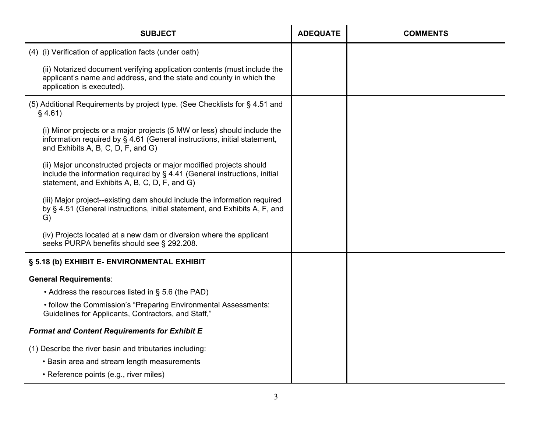| <b>SUBJECT</b>                                                                                                                                                                                    | <b>ADEQUATE</b> | <b>COMMENTS</b> |
|---------------------------------------------------------------------------------------------------------------------------------------------------------------------------------------------------|-----------------|-----------------|
| (4) (i) Verification of application facts (under oath)                                                                                                                                            |                 |                 |
| (ii) Notarized document verifying application contents (must include the<br>applicant's name and address, and the state and county in which the<br>application is executed).                      |                 |                 |
| (5) Additional Requirements by project type. (See Checklists for § 4.51 and<br>§ 4.61)                                                                                                            |                 |                 |
| (i) Minor projects or a major projects (5 MW or less) should include the<br>information required by § 4.61 (General instructions, initial statement,<br>and Exhibits A, B, C, D, F, and G)        |                 |                 |
| (ii) Major unconstructed projects or major modified projects should<br>include the information required by § 4.41 (General instructions, initial<br>statement, and Exhibits A, B, C, D, F, and G) |                 |                 |
| (iii) Major project--existing dam should include the information required<br>by § 4.51 (General instructions, initial statement, and Exhibits A, F, and<br>G)                                     |                 |                 |
| (iv) Projects located at a new dam or diversion where the applicant<br>seeks PURPA benefits should see § 292.208.                                                                                 |                 |                 |
| § 5.18 (b) EXHIBIT E- ENVIRONMENTAL EXHIBIT                                                                                                                                                       |                 |                 |
| <b>General Requirements:</b>                                                                                                                                                                      |                 |                 |
| • Address the resources listed in § 5.6 (the PAD)                                                                                                                                                 |                 |                 |
| • follow the Commission's "Preparing Environmental Assessments:<br>Guidelines for Applicants, Contractors, and Staff,"                                                                            |                 |                 |
| <b>Format and Content Requirements for Exhibit E</b>                                                                                                                                              |                 |                 |
| (1) Describe the river basin and tributaries including:                                                                                                                                           |                 |                 |
| • Basin area and stream length measurements                                                                                                                                                       |                 |                 |
| • Reference points (e.g., river miles)                                                                                                                                                            |                 |                 |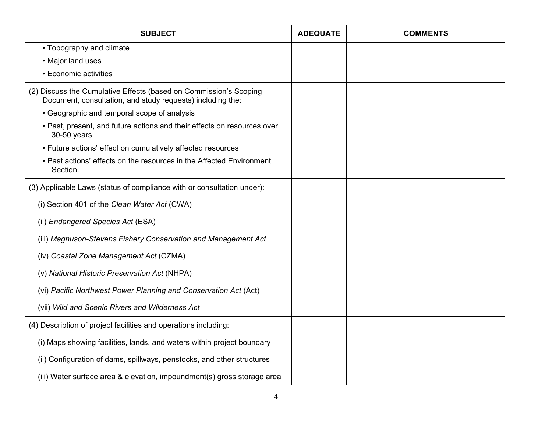| <b>SUBJECT</b>                                                                                                                  | <b>ADEQUATE</b> | <b>COMMENTS</b> |
|---------------------------------------------------------------------------------------------------------------------------------|-----------------|-----------------|
| • Topography and climate                                                                                                        |                 |                 |
| • Major land uses                                                                                                               |                 |                 |
| • Economic activities                                                                                                           |                 |                 |
| (2) Discuss the Cumulative Effects (based on Commission's Scoping<br>Document, consultation, and study requests) including the: |                 |                 |
| • Geographic and temporal scope of analysis                                                                                     |                 |                 |
| • Past, present, and future actions and their effects on resources over<br>30-50 years                                          |                 |                 |
| • Future actions' effect on cumulatively affected resources                                                                     |                 |                 |
| • Past actions' effects on the resources in the Affected Environment<br>Section.                                                |                 |                 |
| (3) Applicable Laws (status of compliance with or consultation under):                                                          |                 |                 |
| (i) Section 401 of the Clean Water Act (CWA)                                                                                    |                 |                 |
| (ii) Endangered Species Act (ESA)                                                                                               |                 |                 |
| (iii) Magnuson-Stevens Fishery Conservation and Management Act                                                                  |                 |                 |
| (iv) Coastal Zone Management Act (CZMA)                                                                                         |                 |                 |
| (v) National Historic Preservation Act (NHPA)                                                                                   |                 |                 |
| (vi) Pacific Northwest Power Planning and Conservation Act (Act)                                                                |                 |                 |
| (vii) Wild and Scenic Rivers and Wilderness Act                                                                                 |                 |                 |
| (4) Description of project facilities and operations including:                                                                 |                 |                 |
| (i) Maps showing facilities, lands, and waters within project boundary                                                          |                 |                 |
| (ii) Configuration of dams, spillways, penstocks, and other structures                                                          |                 |                 |
| (iii) Water surface area & elevation, impoundment(s) gross storage area                                                         |                 |                 |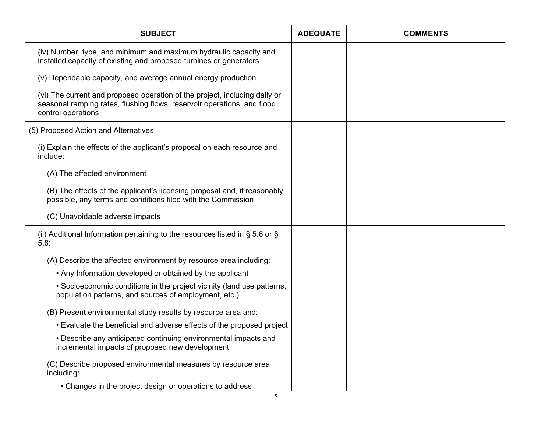| <b>SUBJECT</b>                                                                                                                                                              | <b>ADEQUATE</b> | <b>COMMENTS</b> |
|-----------------------------------------------------------------------------------------------------------------------------------------------------------------------------|-----------------|-----------------|
| (iv) Number, type, and minimum and maximum hydraulic capacity and<br>installed capacity of existing and proposed turbines or generators                                     |                 |                 |
| (v) Dependable capacity, and average annual energy production                                                                                                               |                 |                 |
| (vi) The current and proposed operation of the project, including daily or<br>seasonal ramping rates, flushing flows, reservoir operations, and flood<br>control operations |                 |                 |
| (5) Proposed Action and Alternatives                                                                                                                                        |                 |                 |
| (i) Explain the effects of the applicant's proposal on each resource and<br>include:                                                                                        |                 |                 |
| (A) The affected environment                                                                                                                                                |                 |                 |
| (B) The effects of the applicant's licensing proposal and, if reasonably<br>possible, any terms and conditions filed with the Commission                                    |                 |                 |
| (C) Unavoidable adverse impacts                                                                                                                                             |                 |                 |
| (ii) Additional Information pertaining to the resources listed in $\S 5.6$ or $\S$<br>5.8:                                                                                  |                 |                 |
| (A) Describe the affected environment by resource area including:                                                                                                           |                 |                 |
| • Any Information developed or obtained by the applicant                                                                                                                    |                 |                 |
| • Socioeconomic conditions in the project vicinity (land use patterns,<br>population patterns, and sources of employment, etc.).                                            |                 |                 |
| (B) Present environmental study results by resource area and:                                                                                                               |                 |                 |
| . Evaluate the beneficial and adverse effects of the proposed project                                                                                                       |                 |                 |
| • Describe any anticipated continuing environmental impacts and<br>incremental impacts of proposed new development                                                          |                 |                 |
| (C) Describe proposed environmental measures by resource area<br>including:                                                                                                 |                 |                 |
| • Changes in the project design or operations to address                                                                                                                    |                 |                 |
| 5                                                                                                                                                                           |                 |                 |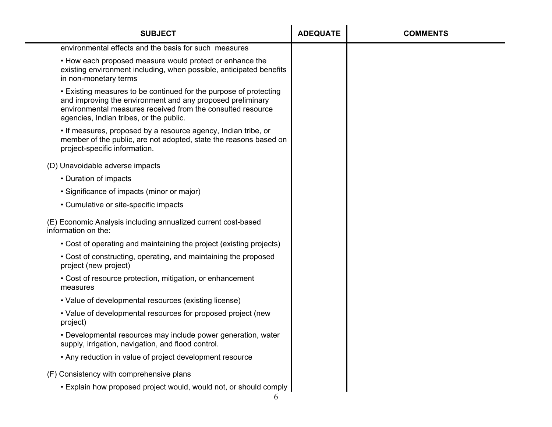| <b>SUBJECT</b>                                                                                                                                                                                                                            | <b>ADEQUATE</b> | <b>COMMENTS</b> |
|-------------------------------------------------------------------------------------------------------------------------------------------------------------------------------------------------------------------------------------------|-----------------|-----------------|
| environmental effects and the basis for such measures                                                                                                                                                                                     |                 |                 |
| . How each proposed measure would protect or enhance the<br>existing environment including, when possible, anticipated benefits<br>in non-monetary terms                                                                                  |                 |                 |
| • Existing measures to be continued for the purpose of protecting<br>and improving the environment and any proposed preliminary<br>environmental measures received from the consulted resource<br>agencies, Indian tribes, or the public. |                 |                 |
| • If measures, proposed by a resource agency, Indian tribe, or<br>member of the public, are not adopted, state the reasons based on<br>project-specific information.                                                                      |                 |                 |
| (D) Unavoidable adverse impacts                                                                                                                                                                                                           |                 |                 |
| • Duration of impacts                                                                                                                                                                                                                     |                 |                 |
| • Significance of impacts (minor or major)                                                                                                                                                                                                |                 |                 |
| • Cumulative or site-specific impacts                                                                                                                                                                                                     |                 |                 |
| (E) Economic Analysis including annualized current cost-based<br>information on the:                                                                                                                                                      |                 |                 |
| • Cost of operating and maintaining the project (existing projects)                                                                                                                                                                       |                 |                 |
| • Cost of constructing, operating, and maintaining the proposed<br>project (new project)                                                                                                                                                  |                 |                 |
| • Cost of resource protection, mitigation, or enhancement<br>measures                                                                                                                                                                     |                 |                 |
| • Value of developmental resources (existing license)                                                                                                                                                                                     |                 |                 |
| • Value of developmental resources for proposed project (new<br>project)                                                                                                                                                                  |                 |                 |
| • Developmental resources may include power generation, water<br>supply, irrigation, navigation, and flood control.                                                                                                                       |                 |                 |
| • Any reduction in value of project development resource                                                                                                                                                                                  |                 |                 |
| (F) Consistency with comprehensive plans                                                                                                                                                                                                  |                 |                 |
| • Explain how proposed project would, would not, or should comply                                                                                                                                                                         |                 |                 |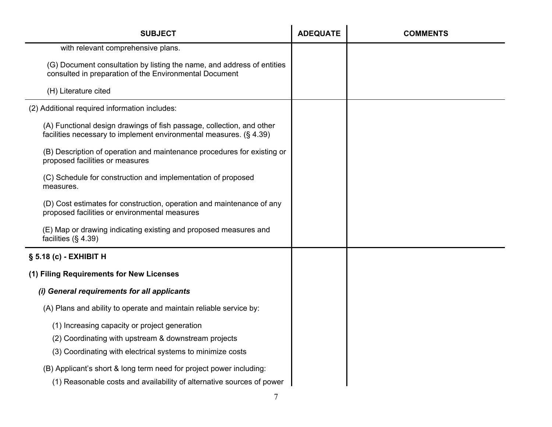| <b>SUBJECT</b>                                                                                                                              | <b>ADEQUATE</b> | <b>COMMENTS</b> |
|---------------------------------------------------------------------------------------------------------------------------------------------|-----------------|-----------------|
| with relevant comprehensive plans.                                                                                                          |                 |                 |
| (G) Document consultation by listing the name, and address of entities<br>consulted in preparation of the Environmental Document            |                 |                 |
| (H) Literature cited                                                                                                                        |                 |                 |
| (2) Additional required information includes:                                                                                               |                 |                 |
| (A) Functional design drawings of fish passage, collection, and other<br>facilities necessary to implement environmental measures. (§ 4.39) |                 |                 |
| (B) Description of operation and maintenance procedures for existing or<br>proposed facilities or measures                                  |                 |                 |
| (C) Schedule for construction and implementation of proposed<br>measures.                                                                   |                 |                 |
| (D) Cost estimates for construction, operation and maintenance of any<br>proposed facilities or environmental measures                      |                 |                 |
| (E) Map or drawing indicating existing and proposed measures and<br>facilities $(\S 4.39)$                                                  |                 |                 |
| § 5.18 (c) - EXHIBIT H                                                                                                                      |                 |                 |
| (1) Filing Requirements for New Licenses                                                                                                    |                 |                 |
| (i) General requirements for all applicants                                                                                                 |                 |                 |
| (A) Plans and ability to operate and maintain reliable service by:                                                                          |                 |                 |
| (1) Increasing capacity or project generation                                                                                               |                 |                 |
| (2) Coordinating with upstream & downstream projects                                                                                        |                 |                 |
| (3) Coordinating with electrical systems to minimize costs                                                                                  |                 |                 |
| (B) Applicant's short & long term need for project power including:                                                                         |                 |                 |
| (1) Reasonable costs and availability of alternative sources of power                                                                       |                 |                 |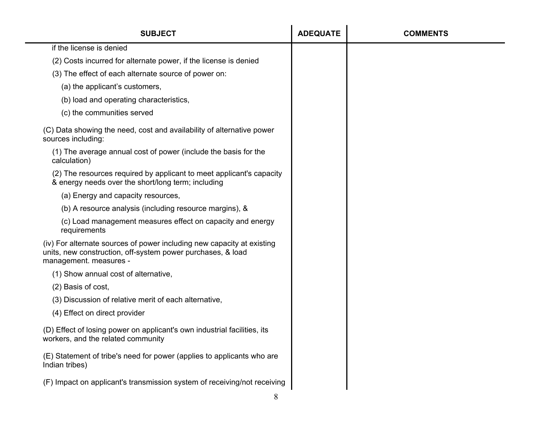| <b>SUBJECT</b>                                                                                                                                                  | <b>ADEQUATE</b> | <b>COMMENTS</b> |
|-----------------------------------------------------------------------------------------------------------------------------------------------------------------|-----------------|-----------------|
| if the license is denied                                                                                                                                        |                 |                 |
| (2) Costs incurred for alternate power, if the license is denied                                                                                                |                 |                 |
| (3) The effect of each alternate source of power on:                                                                                                            |                 |                 |
| (a) the applicant's customers,                                                                                                                                  |                 |                 |
| (b) load and operating characteristics,                                                                                                                         |                 |                 |
| (c) the communities served                                                                                                                                      |                 |                 |
| (C) Data showing the need, cost and availability of alternative power<br>sources including:                                                                     |                 |                 |
| (1) The average annual cost of power (include the basis for the<br>calculation)                                                                                 |                 |                 |
| (2) The resources required by applicant to meet applicant's capacity<br>& energy needs over the short/long term; including                                      |                 |                 |
| (a) Energy and capacity resources,                                                                                                                              |                 |                 |
| (b) A resource analysis (including resource margins), &                                                                                                         |                 |                 |
| (c) Load management measures effect on capacity and energy<br>requirements                                                                                      |                 |                 |
| (iv) For alternate sources of power including new capacity at existing<br>units, new construction, off-system power purchases, & load<br>management. measures - |                 |                 |
| (1) Show annual cost of alternative,                                                                                                                            |                 |                 |
| (2) Basis of cost,                                                                                                                                              |                 |                 |
| (3) Discussion of relative merit of each alternative,                                                                                                           |                 |                 |
| (4) Effect on direct provider                                                                                                                                   |                 |                 |
| (D) Effect of losing power on applicant's own industrial facilities, its<br>workers, and the related community                                                  |                 |                 |
| (E) Statement of tribe's need for power (applies to applicants who are<br>Indian tribes)                                                                        |                 |                 |
| (F) Impact on applicant's transmission system of receiving/not receiving                                                                                        |                 |                 |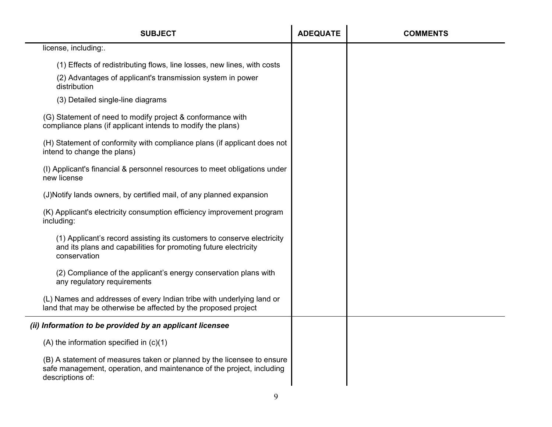| <b>SUBJECT</b>                                                                                                                                                      | <b>ADEQUATE</b> | <b>COMMENTS</b> |
|---------------------------------------------------------------------------------------------------------------------------------------------------------------------|-----------------|-----------------|
| license, including:.                                                                                                                                                |                 |                 |
| (1) Effects of redistributing flows, line losses, new lines, with costs                                                                                             |                 |                 |
| (2) Advantages of applicant's transmission system in power<br>distribution                                                                                          |                 |                 |
| (3) Detailed single-line diagrams                                                                                                                                   |                 |                 |
| (G) Statement of need to modify project & conformance with<br>compliance plans (if applicant intends to modify the plans)                                           |                 |                 |
| (H) Statement of conformity with compliance plans (if applicant does not<br>intend to change the plans)                                                             |                 |                 |
| (I) Applicant's financial & personnel resources to meet obligations under<br>new license                                                                            |                 |                 |
| (J)Notify lands owners, by certified mail, of any planned expansion                                                                                                 |                 |                 |
| (K) Applicant's electricity consumption efficiency improvement program<br>including:                                                                                |                 |                 |
| (1) Applicant's record assisting its customers to conserve electricity<br>and its plans and capabilities for promoting future electricity<br>conservation           |                 |                 |
| (2) Compliance of the applicant's energy conservation plans with<br>any regulatory requirements                                                                     |                 |                 |
| (L) Names and addresses of every Indian tribe with underlying land or<br>land that may be otherwise be affected by the proposed project                             |                 |                 |
| (ii) Information to be provided by an applicant licensee                                                                                                            |                 |                 |
| $(A)$ the information specified in $(c)(1)$                                                                                                                         |                 |                 |
| (B) A statement of measures taken or planned by the licensee to ensure<br>safe management, operation, and maintenance of the project, including<br>descriptions of: |                 |                 |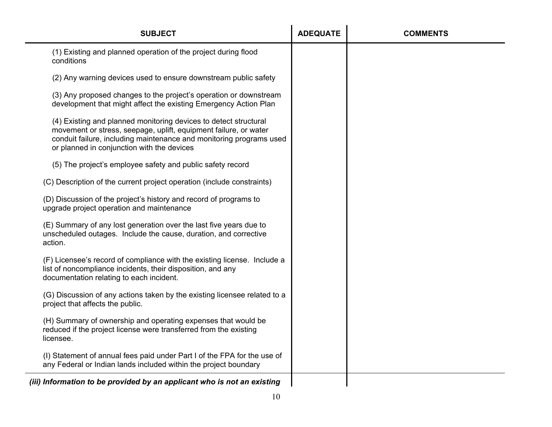| <b>SUBJECT</b>                                                                                                                                                                                                                                            | <b>ADEQUATE</b> | <b>COMMENTS</b> |
|-----------------------------------------------------------------------------------------------------------------------------------------------------------------------------------------------------------------------------------------------------------|-----------------|-----------------|
| (1) Existing and planned operation of the project during flood<br>conditions                                                                                                                                                                              |                 |                 |
| (2) Any warning devices used to ensure downstream public safety                                                                                                                                                                                           |                 |                 |
| (3) Any proposed changes to the project's operation or downstream<br>development that might affect the existing Emergency Action Plan                                                                                                                     |                 |                 |
| (4) Existing and planned monitoring devices to detect structural<br>movement or stress, seepage, uplift, equipment failure, or water<br>conduit failure, including maintenance and monitoring programs used<br>or planned in conjunction with the devices |                 |                 |
| (5) The project's employee safety and public safety record                                                                                                                                                                                                |                 |                 |
| (C) Description of the current project operation (include constraints)                                                                                                                                                                                    |                 |                 |
| (D) Discussion of the project's history and record of programs to<br>upgrade project operation and maintenance                                                                                                                                            |                 |                 |
| (E) Summary of any lost generation over the last five years due to<br>unscheduled outages. Include the cause, duration, and corrective<br>action.                                                                                                         |                 |                 |
| (F) Licensee's record of compliance with the existing license. Include a<br>list of noncompliance incidents, their disposition, and any<br>documentation relating to each incident.                                                                       |                 |                 |
| (G) Discussion of any actions taken by the existing licensee related to a<br>project that affects the public.                                                                                                                                             |                 |                 |
| (H) Summary of ownership and operating expenses that would be<br>reduced if the project license were transferred from the existing<br>licensee.                                                                                                           |                 |                 |
| (I) Statement of annual fees paid under Part I of the FPA for the use of<br>any Federal or Indian lands included within the project boundary                                                                                                              |                 |                 |
| (iii) Information to be provided by an applicant who is not an existing                                                                                                                                                                                   |                 |                 |